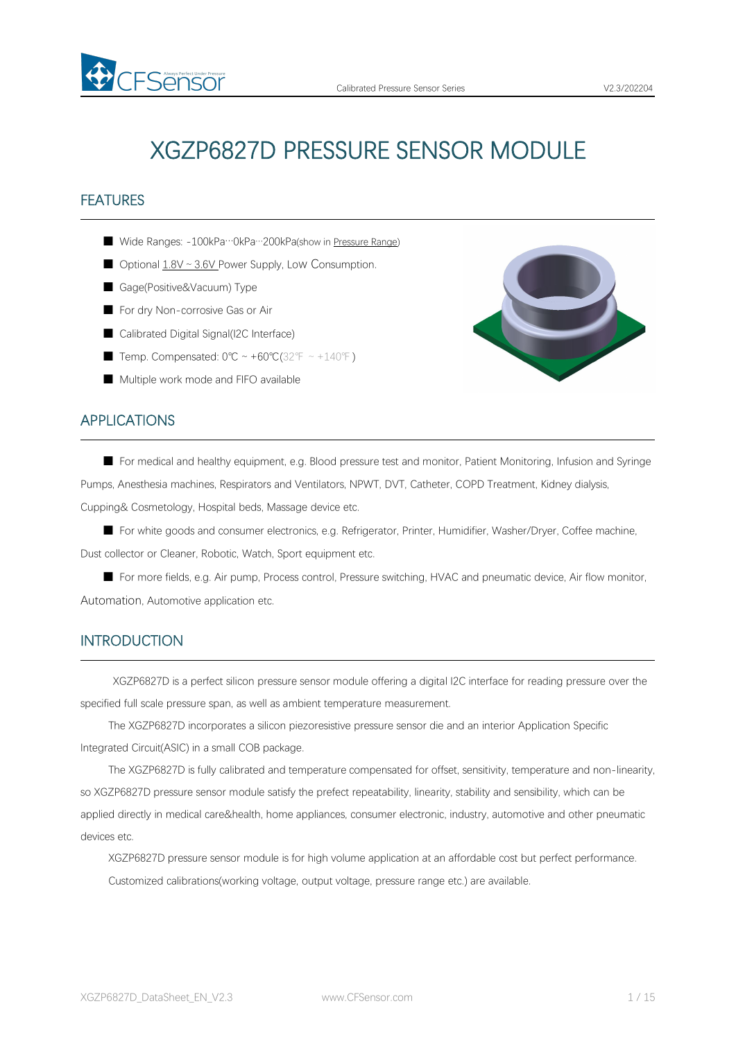# XGZP6827D PRESSURE SENSOR MODULE

# **FEATURES**

- Wide Ranges: -100kPa…0kPa…200kPa(show in [Pressure](#page-4-0) Range)
- Optional 1.8V ~ 3.6V Power Supply, Low Consumption.
- Gage(Positive&Vacuum) Type

FSensor

- For dry Non-corrosive Gas or Air
- Calibrated Digital Signal(I2C Interface)
- Temp. Compensated: 0°C ~ +60°C(32°F ~ +140°F)
- Multiple work mode and FIFO available

#### APPLICATIONS

■ For medical and healthy equipment, e.g. Blood pressure test and monitor, Patient Monitoring, Infusion and Syringe Pumps, Anesthesia machines, Respirators and Ventilators, NPWT, DVT, Catheter, COPD Treatment, Kidney dialysis, Cupping& Cosmetology, Hospital beds, Massage device etc.

■ For white goods and consumer electronics, e.g. Refrigerator, Printer, Humidifier, Washer/Dryer, Coffee machine, Dust collector or Cleaner, Robotic, Watch, Sport equipment etc.

■ For more fields, e.g. Air pump, Process control, Pressure switching, HVAC and pneumatic device, Air flow monitor, Automation, Automotive application etc.

#### INTRODUCTION

XGZP6827D is a perfect silicon pressure sensor module offering a digital I2C interface for reading pressure over the specified full scale pressure span, as well as ambient temperature measurement.

The XGZP6827D incorporates a silicon piezoresistive pressure sensor die and an interior Application Specific Integrated Circuit(ASIC) in a small COB package.

The XGZP6827D is fully calibrated and temperature compensated for offset, sensitivity, temperature and non-linearity, so XGZP6827D pressure sensor module satisfy the prefect repeatability, linearity, stability and sensibility, which can be applied directly in medical care&health, home appliances, consumer electronic, industry, automotive and other pneumatic devices etc.

XGZP6827D pressure sensor module is for high volume application at an affordable cost but perfect performance. Customized calibrations(working voltage, output voltage, pressure range etc.) are available.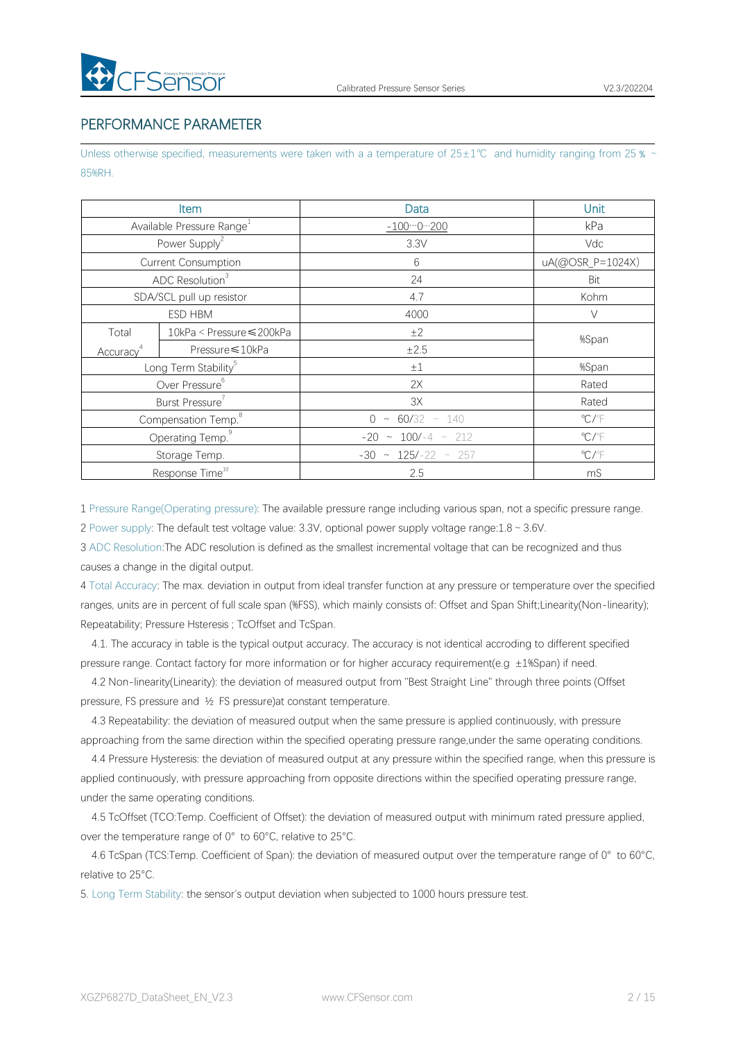# PERFORMANCE PARAMETER

Unless otherwise specified, measurements were taken with a a temperature of 25±1℃ and humidity ranging from 25 % ~ 85%RH.

|                              | <b>Item</b>                           | Data                        | Unit                       |
|------------------------------|---------------------------------------|-----------------------------|----------------------------|
|                              | Available Pressure Range <sup>1</sup> | $-1000200$                  | kPa                        |
|                              | Power Supply <sup>2</sup>             | 3.3V                        | Vdc                        |
|                              | Current Consumption                   | $6\,$                       | uA(@OSR_P=1024X)           |
|                              | ADC Resolution <sup>3</sup>           | 24                          | Bit                        |
|                              | SDA/SCL pull up resistor              | 4.7                         | Kohm                       |
| ESD HBM                      |                                       | 4000                        | $\vee$                     |
| Total                        | 10kPa < Pressure ≤ 200kPa             | ±2                          | %Span                      |
| Accuracy <sup>4</sup>        | Pressure ≤10kPa                       | $\pm 2.5$                   |                            |
|                              | Long Term Stability <sup>5</sup>      | $\pm 1$                     | %Span                      |
|                              | Over Pressure <sup>6</sup>            | 2X                          | Rated                      |
|                              | Burst Pressure                        | 3X                          | Rated                      |
|                              | Compensation Temp. <sup>8</sup>       | $0 \sim 60/32 \sim 140$     | $^{\circ}$ C/ $^{\circ}$ F |
| Operating Temp. <sup>9</sup> |                                       | $-20 \sim 100/-4 \sim 212$  | $\mathrm{C}/\mathrm{F}$    |
|                              | Storage Temp.                         | $-30 \sim 125/-22 \sim 257$ | $\mathrm{C}/\mathrm{F}$    |
|                              | Response Time <sup>10</sup>           | 2.5                         | mS                         |

1 Pressure Range(Operating pressure): The available pressure range including variousspan, not a specific pressure range.

2 Power supply: The default test voltage value: 3.3V, optional power supply voltage range:1.8~3.6V.

3 ADC Resolution:The ADC resolution is defined as the smallest incremental voltage that can be recognized and thus causes a change in the digital output.

4 Total Accuracy: The max. deviation in output from ideal transfer function at any pressure or temperature over the specified ranges, units are in percent of full scale span (%FSS), which mainly consists of: Offset and Span Shift; Linearity(Non-linearity); Repeatability; Pressure Hsteresis ; TcOffset and TcSpan.

4.1. The accuracy in table is the typical output accuracy. The accuracy is notidentical accroding to different specified pressure range. Contact factory for more information or for higher accuracy requirement(e.g ±1%Span) if need.

4.2 Non-linearity(Linearity): the deviation of measured output from "Best Straight Line" through three points (Offset pressure, FS pressure and ½ FS pressure)at constant temperature.

4.3 Repeatability: the deviation of measured output when the same pressure is applied continuously, with pressure approaching from the same direction within the specified operating pressure range,under the same operating conditions.

4.4 Pressure Hysteresis: the deviation of measured output at any pressure within the specified range, when this pressure is applied continuously, with pressure approaching from opposite directions within the specified operating pressure range, under the same operating conditions.

4.5 TcOffset (TCO:Temp. Coefficient of Offset): the deviation of measured output with minimum rated pressure applied, over the temperature range of 0° to 60°C, relative to 25°C.

4.6 TcSpan (TCS:Temp. Coefficient of Span): the deviation of measured output over the temperature range of 0° to 60°C, relative to 25°C.

5. Long Term Stability: the sensor's output deviation when subjected to 1000 hours pressure test.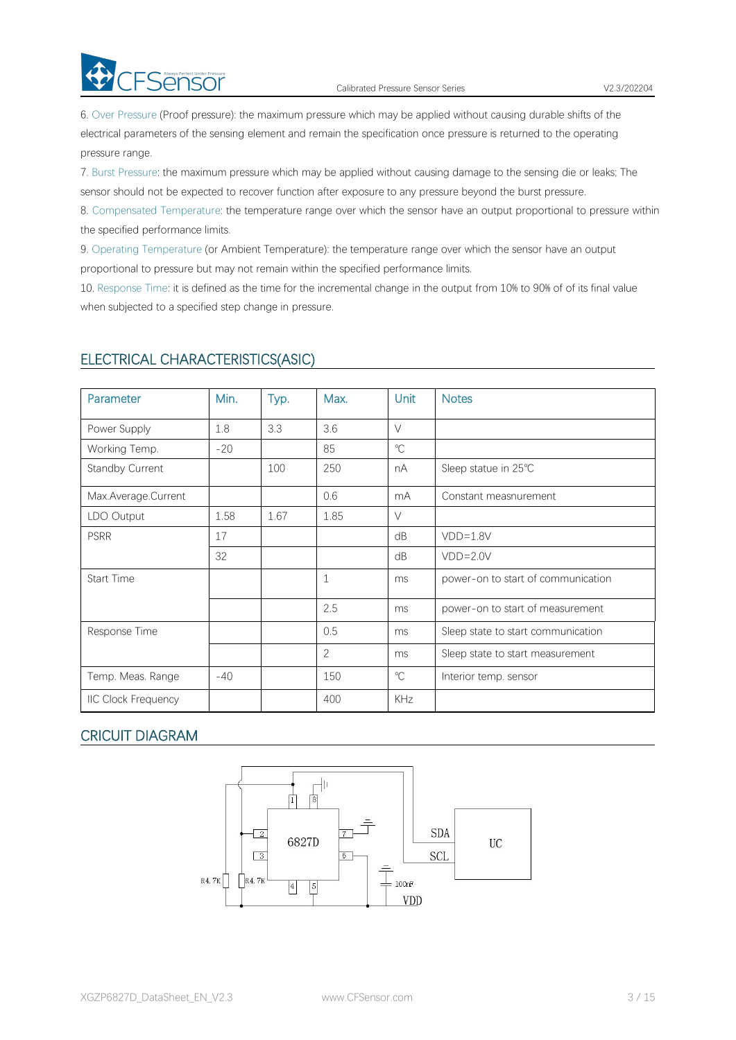

6. Over Pressure (Proof pressure): the maximum pressure which may be applied without causing durable shifts of the electrical parameters of the sensing element and remain the specification once pressure is returned to the operating pressure range.

7. Burst Pressure: the maximum pressure which may be applied without causing damage to the sensing die or leaks; The sensor should not be expected to recover function after exposure to any pressure beyond the burst pressure.

8. Compensated Temperature: the temperature range over which the sensor have an output proportional to pressure within the specified performance limits.

9. Operating Temperature (or Ambient Temperature): the temperature range over which the sensor have an output proportional to pressure but may not remain within the specified performance limits.

10. Response Time: it is defined as the time for the incremental change in the output from 10% to 90% of of its final value when subjected to a specified step change in pressure.

| Parameter                  | Min.  | Typ. | Max.           | Unit         | <b>Notes</b>                       |
|----------------------------|-------|------|----------------|--------------|------------------------------------|
| Power Supply               | 1.8   | 3.3  | 3.6            | $\vee$       |                                    |
| Working Temp.              | $-20$ |      | 85             | $\mathrm{C}$ |                                    |
| Standby Current            |       | 100  | 250            | nA           | Sleep statue in 25°C               |
| Max.Average.Current        |       |      | 0.6            | mA           | Constant measnurement              |
| LDO Output                 | 1.58  | 1.67 | 1.85           | $\vee$       |                                    |
| <b>PSRR</b>                | 17    |      |                | dB           | $VDD=1.8V$                         |
|                            | 32    |      |                | dB           | $VDD=2.0V$                         |
| Start Time                 |       |      | $\mathbf{1}$   | ms           | power-on to start of communication |
|                            |       |      | 2.5            | ms           | power-on to start of measurement   |
| Response Time              |       |      | 0.5            | ms           | Sleep state to start communication |
|                            |       |      | $\overline{c}$ | ms           | Sleep state to start measurement   |
| Temp. Meas. Range          | $-40$ |      | 150            | $^{\circ}C$  | Interior temp. sensor              |
| <b>IIC Clock Frequency</b> |       |      | 400            | KHz          |                                    |

# ELECTRICAL CHARACTERISTICS(ASIC)

# CRICUIT DIAGRAM

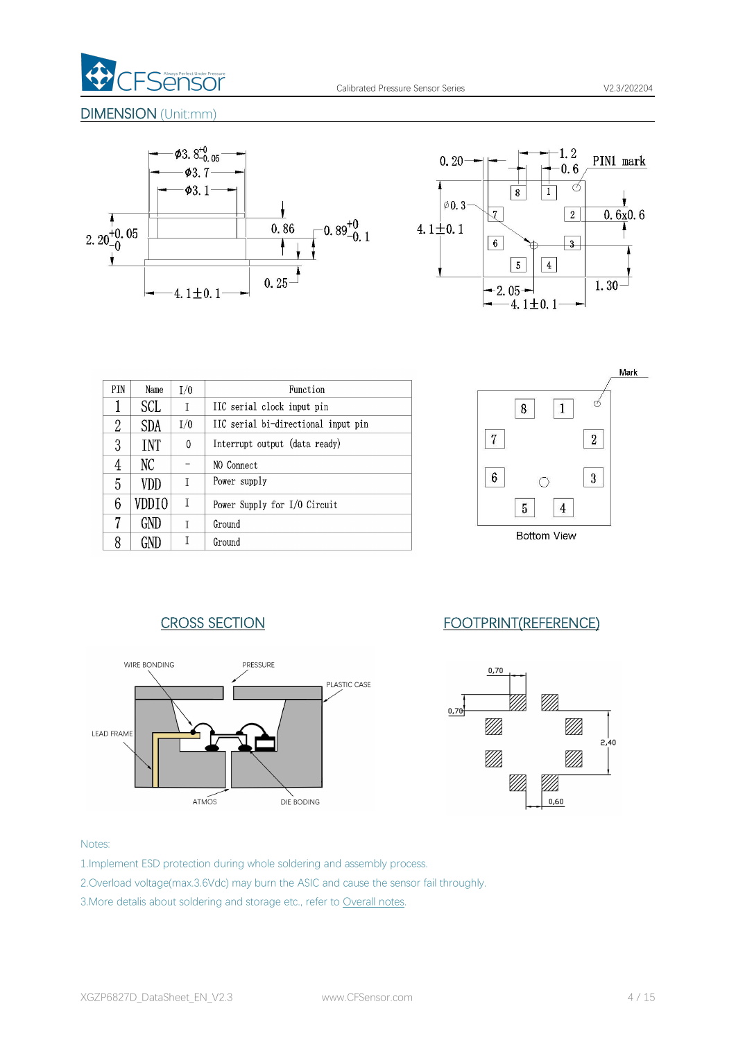

#### DIMENSION (Unit:mm)





| <b>PTN</b> | Name       | 1/0 | Function                            |
|------------|------------|-----|-------------------------------------|
| 1          | SCL        | T   | IIC serial clock input pin          |
| 2          | <b>SDA</b> | I/0 | IIC serial bi-directional input pin |
| 3          | <b>TNT</b> | 0   | Interrupt output (data ready)       |
| 4          | NС         |     | NO Connect                          |
| 5          | VDD        | T   | Power supply                        |
| 6          | VDDIO      | I   | Power Supply for I/O Circuit        |
| 7          | GND        | T   | Ground                              |
| 8          |            |     | Ground                              |





# CROSS SECTION FOOTPRINT(REFERENCE)



#### Notes:

- 1.Implement ESD protection during whole soldering and assembly process.
- 2.Overload voltage(max.3.6Vdc) may burn the ASIC and cause the sensor fail throughly.
- 3. More detalis about soldering and storage etc., refer to [Overall](#page-10-0) notes.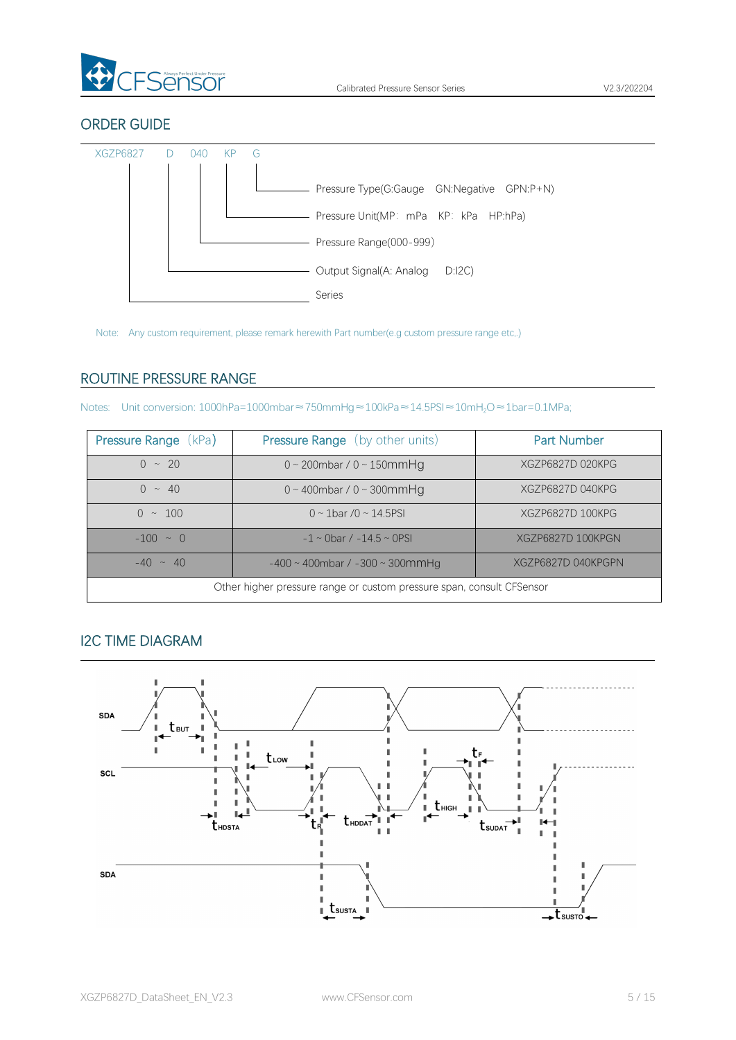

# ORDER GUIDE



Note: Any custom requirement, please remark herewith Part number(e.g custom pressure range etc,.)

# <span id="page-4-0"></span>ROUTINE PRESSURE RANGE

| Pressure Range (kPa)                                                  | <b>Pressure Range</b> (by other units)      | <b>Part Number</b> |  |  |  |  |  |
|-----------------------------------------------------------------------|---------------------------------------------|--------------------|--|--|--|--|--|
| $0 \sim 20$                                                           | $0 \sim 200$ mbar / $0 \sim 150$ mmHg       | XGZP6827D 020KPG   |  |  |  |  |  |
| $0 \sim 40$                                                           | $0 \sim 400$ mbar / $0 \sim 300$ mmHg       | XGZP6827D 040KPG   |  |  |  |  |  |
| $0 \sim 100$                                                          | $0 \sim 1$ bar /0 ~ 14.5PSI                 | XGZP6827D 100KPG   |  |  |  |  |  |
| $-100 \sim 0$                                                         | $-1 \sim$ 0bar / $-14.5 \sim$ 0PSI          | XGZP6827D 100KPGN  |  |  |  |  |  |
| $-40 \sim 40$                                                         | $-400 \sim 400$ mbar / $-300 \sim 300$ mmHg | XGZP6827D 040KPGPN |  |  |  |  |  |
| Other higher pressure range or custom pressure span, consult CFSensor |                                             |                    |  |  |  |  |  |

# I2C TIME DIAGRAM

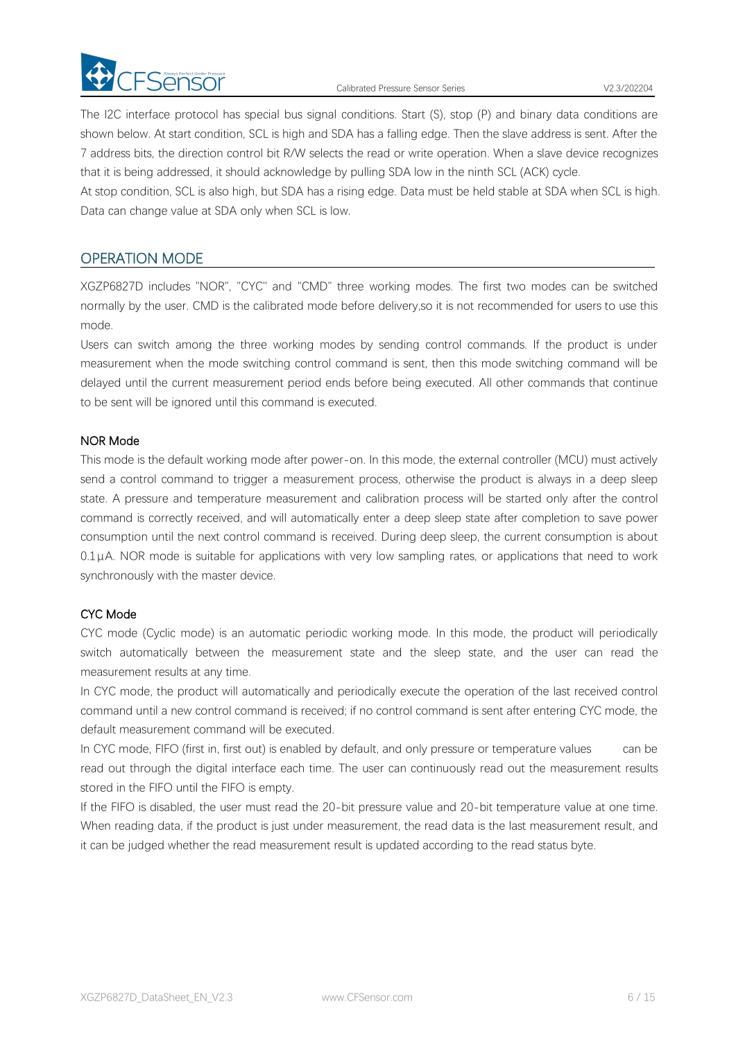

Calibrated Pressure Sensor Series V2.3/202204

The I2C interface protocol has special bus signal conditions. Start (S), stop (P) and binary data conditions are shown below. At start condition, SCL is high and SDA has a falling edge. Then the slave address is sent. After the 7 address bits, the direction control bit R/W selects the read or write operation. When a slave device recognizes that it is being addressed, it should acknowledge by pulling SDA low in the ninth SCL (ACK) cycle.

At stop condition, SCL is also high, but SDA has a rising edge. Data must be held stable at SDA when SCL is high. Data can change value at SDA only when SCL is low.

# OPERATION MODE

XGZP6827D includes "NOR", "CYC" and "CMD" three working modes. The first two modes can be switched normally by the user. CMD is the calibrated mode before delivery,so it is not recommended for users to use this mode.

Users can switch among the three working modes by sending control commands. If the product is under measurement when the mode switching control command is sent, then this mode switching command will be delayed until the current measurement period ends before being executed. All other commands that continue to be sent will be ignored until this command is executed.

#### NOR Mode

This mode is the default working mode after power-on. In this mode, the external controller (MCU) must actively send a control command to trigger a measurement process, otherwise the product is always in a deep sleep state. A pressure and temperature measurement and calibration process will be started only after the control command is correctly received, and will automatically enter a deep sleep state after completion to save power consumption until the next control command is received. During deep sleep, the current consumption is about  $0.1\mu$ A. NOR mode is suitable for applications with very low sampling rates, or applications that need to work synchronously with the master device.

#### CYC Mode

CYC mode (Cyclic mode) is an automatic periodic working mode. In this mode, the product will periodically switch automatically between the measurement state and the sleep state, and the user can read the measurement results at any time.

In CYC mode, the product will automatically and periodically execute the operation of the last received control command until a new control command is received; if no control command is sent after entering CYC mode, the default measurement command will be executed.

In CYC mode, FIFO (first in, first out) is enabled by default, and only pressure or temperature values can be read out through the digital interface each time. The user can continuously read out the measurement results

stored in the FIFO until the FIFO is empty.<br>If the FIFO is disabled, the user must read the 20-bit pressure value and 20-bit temperature value at one time.<br>When reading data, if the product is just under measurement, the r it can be judged whether the read measurement result is updated according to the read status byte.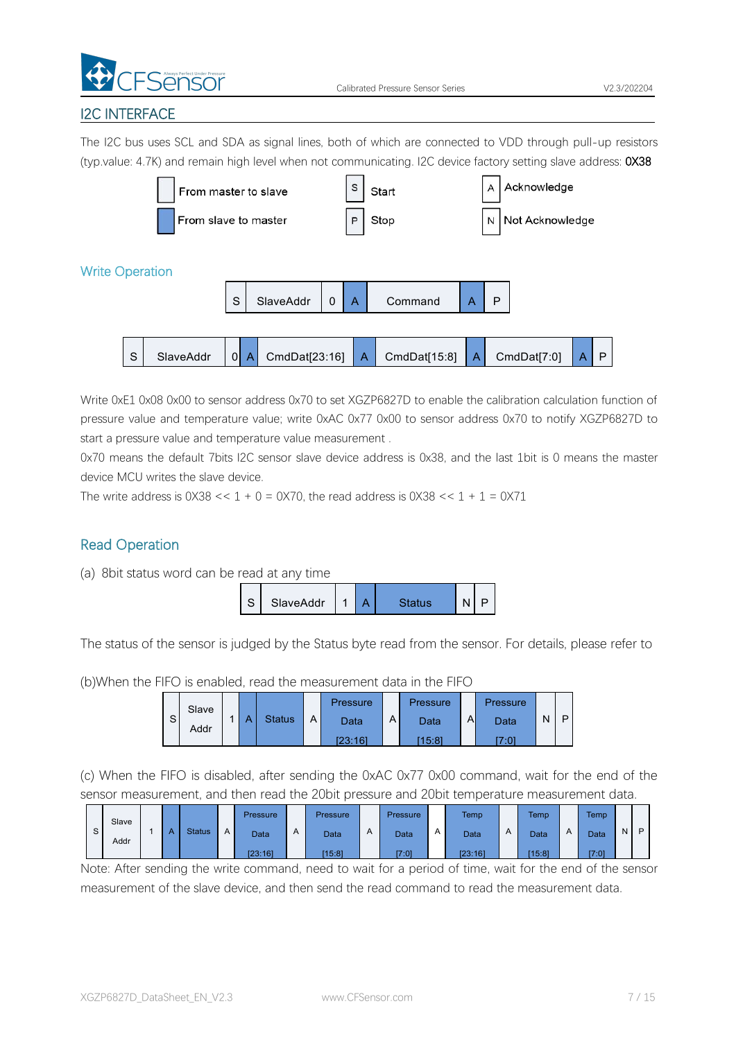

# I2C INTERFACE

The I2C bus uses SCL and SDA as signal lines, both of which are connected to VDD through pull-up resistors (typ.value: 4.7K) and remain high level when not communicating. I2C device factory setting slave address: 0X38



Write 0xE1 0x08 0x00 to sensor address 0x70 to set XGZP6827D to enable the calibration calculation function of pressure value and temperature value; write 0xAC 0x77 0x00 to sensor address 0x70 to notify XGZP6827D to start a pressure value and temperature value measurement .

0x70 means the default 7bits I2C sensor slave device address is 0x38, and the last 1bit is 0 means the master device MCU writes the slave device.

The write address is  $0 \times 38 \le 1 + 0 = 0 \times 70$ , the read address is  $0 \times 38 \le 1 + 1 = 0 \times 71$ 

# Read Operation





The status of the sensor is judged by the Status byte read from the sensor. For details, please refer to

(b)When the FIFO is enabled, read the measurement data in the FIFO



(c) When the FIFO is disabled, after sending the 0xAC 0x77 0x00 command, wait for the end of the sensor measurement, and then read the 20bit pressure and 20bit temperature measurement data.

|   | Slave |   |        |   | Pressure    |   | Pressure |              | Pressure    |   | <b>Temp</b> |   | <b>Temp</b> |                | Temp |             |   |
|---|-------|---|--------|---|-------------|---|----------|--------------|-------------|---|-------------|---|-------------|----------------|------|-------------|---|
| s | Addr  | A | Status | A | <b>Data</b> | A | Data     | $\mathsf{A}$ | <b>Data</b> | A | Data        | A | Data        | $\overline{A}$ | Data | $N_{\perp}$ | P |
|   |       |   |        |   | [23:16]     |   | [15:8]   |              | [7:0]       |   | [23:16]     |   | [15:8]      |                | 7:01 |             |   |

Note: After sending the write command, need to wait for a period of time, wait for the end of the sensor measurement of the slave device, and then send the read command to read the measurement data.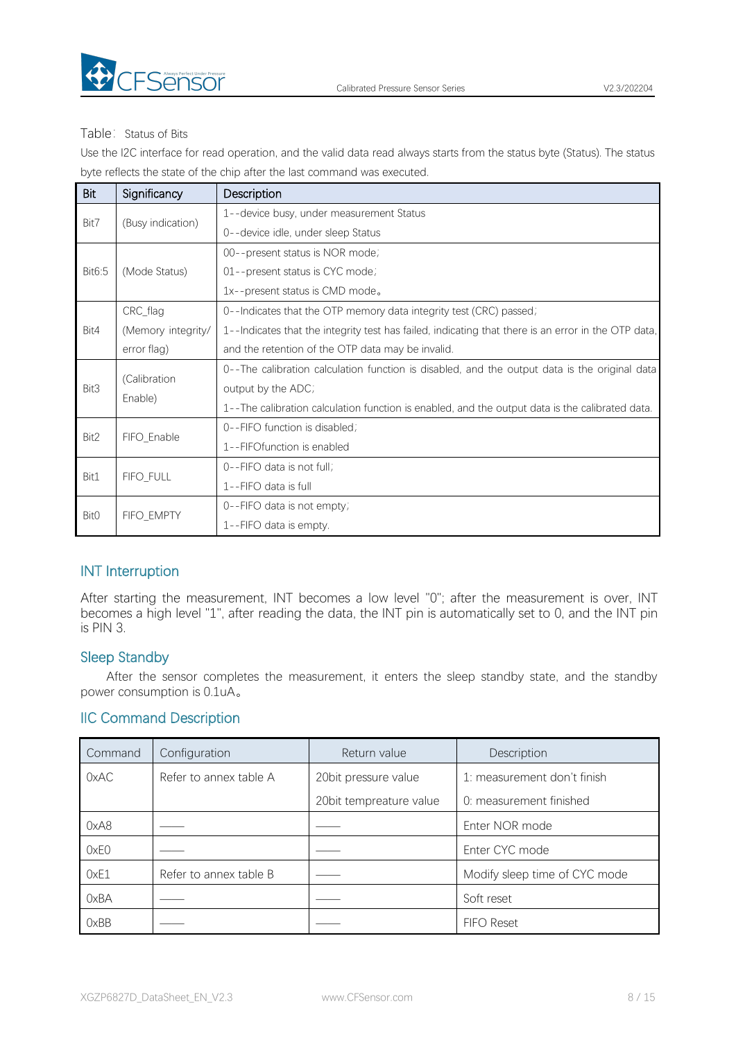

#### Table: Status of Bits

Use the I2C interface for read operation, and the valid data read always starts from the status byte (Status). The status byte reflects the state of the chip after the last command was executed.

| <b>Bit</b>       | Significancy       | Description                                                                                         |
|------------------|--------------------|-----------------------------------------------------------------------------------------------------|
| Bit7             | (Busy indication)  | 1--device busy, under measurement Status                                                            |
|                  |                    | 0--device idle, under sleep Status                                                                  |
|                  |                    | 00--present status is NOR mode;                                                                     |
| Bit6:5           | (Mode Status)      | 01--present status is CYC mode;                                                                     |
|                  |                    | 1x--present status is CMD mode.                                                                     |
|                  | CRC_flag           | 0--Indicates that the OTP memory data integrity test (CRC) passed;                                  |
| Bit4             | (Memory integrity/ | 1--Indicates that the integrity test has failed, indicating that there is an error in the OTP data, |
|                  | error flag)        | and the retention of the OTP data may be invalid.                                                   |
|                  | (Calibration       | 0--The calibration calculation function is disabled, and the output data is the original data       |
| Bit3             | Enable)            | output by the ADC;                                                                                  |
|                  |                    | 1--The calibration calculation function is enabled, and the output data is the calibrated data.     |
| Bit2             | FIFO_Enable        | 0--FIFO function is disabled;                                                                       |
|                  |                    | 1--FIFOfunction is enabled                                                                          |
| Bit1             | FIFO_FULL          | 0--FIFO data is not full;                                                                           |
|                  |                    | 1--FIFO data is full                                                                                |
| Bit <sub>0</sub> | FIFO_EMPTY         | 0--FIFO data is not empty;                                                                          |
|                  |                    | 1--FIFO data is empty.                                                                              |

# INT Interruption

After starting the measurement, INT becomes a low level "0"; after the measurement is over, INT becomes a high level "1", after reading the data, the INT pin is automatically set to 0, and the INT pin is PIN 3.

#### Sleep Standby

After the sensor completes the measurement, it enters the sleep standby state, and the standby power consumption is 0.1uA。

# IIC Command Description

| Command | Configuration          | Return value             | Description                   |
|---------|------------------------|--------------------------|-------------------------------|
| 0xAC    | Refer to annex table A | 20 bit pressure value    | 1: measurement don't finish   |
|         |                        | 20 bit tempreature value | 0: measurement finished       |
| 0xA8    |                        |                          | Enter NOR mode                |
| 0xE0    |                        |                          | Enter CYC mode                |
| 0xE1    | Refer to annex table B |                          | Modify sleep time of CYC mode |
| 0xBA    |                        |                          | Soft reset                    |
| 0xBB    |                        |                          | <b>FIFO Reset</b>             |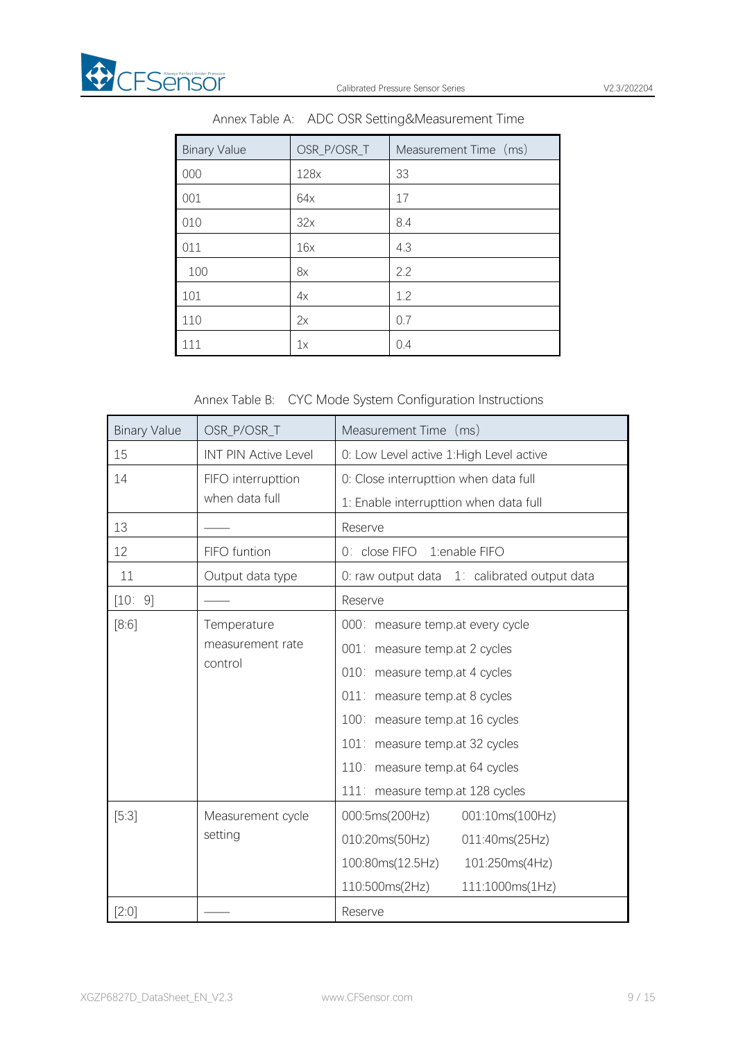

| <b>Binary Value</b> | OSR_P/OSR_T | Measurement Time (ms) |
|---------------------|-------------|-----------------------|
| 000                 | 128x        | 33                    |
| 001                 | 64x         | 17                    |
| 010                 | 32x         | 8.4                   |
| 011                 | 16x         | 4.3                   |
| 100                 | 8x          | 2.2                   |
| 101                 | 4x          | 1.2                   |
| 110                 | 2x          | 0.7                   |
| 111                 | 1x          | 0.4                   |

Annex Table A: ADC OSR Setting&Measurement Time

# Annex Table B: CYC Mode System Configuration Instructions

| <b>Binary Value</b> | OSR_P/OSR_T                 | Measurement Time (ms)                        |  |  |  |  |  |
|---------------------|-----------------------------|----------------------------------------------|--|--|--|--|--|
| 15                  | <b>INT PIN Active Level</b> | 0: Low Level active 1: High Level active     |  |  |  |  |  |
| 14                  | FIFO interrupttion          | 0: Close interrupttion when data full        |  |  |  |  |  |
|                     | when data full              | 1: Enable interrupttion when data full       |  |  |  |  |  |
| 13                  |                             | Reserve                                      |  |  |  |  |  |
| 12                  | FIFO funtion                | 0: close FIFO<br>1:enable FIFO               |  |  |  |  |  |
| 11                  | Output data type            | 0: raw output data 1: calibrated output data |  |  |  |  |  |
| [10:9]              |                             | Reserve                                      |  |  |  |  |  |
| [8:6]               | Temperature                 | 000: measure temp.at every cycle             |  |  |  |  |  |
|                     | measurement rate            | 001: measure temp.at 2 cycles                |  |  |  |  |  |
|                     | control                     | 010: measure temp.at 4 cycles                |  |  |  |  |  |
|                     |                             | 011: measure temp.at 8 cycles                |  |  |  |  |  |
|                     |                             | 100: measure temp.at 16 cycles               |  |  |  |  |  |
|                     |                             | 101: measure temp.at 32 cycles               |  |  |  |  |  |
|                     |                             | 110: measure temp.at 64 cycles               |  |  |  |  |  |
|                     |                             | 111: measure temp.at 128 cycles              |  |  |  |  |  |
| [5:3]               | Measurement cycle           | 000:5ms(200Hz)<br>001:10ms(100Hz)            |  |  |  |  |  |
|                     | setting                     | 010:20ms(50Hz)<br>011:40ms(25Hz)             |  |  |  |  |  |
|                     |                             | 100:80ms(12.5Hz)<br>101:250ms(4Hz)           |  |  |  |  |  |
|                     |                             | 110:500ms(2Hz)<br>111:1000ms(1Hz)            |  |  |  |  |  |
| $[2:0]$             |                             | Reserve                                      |  |  |  |  |  |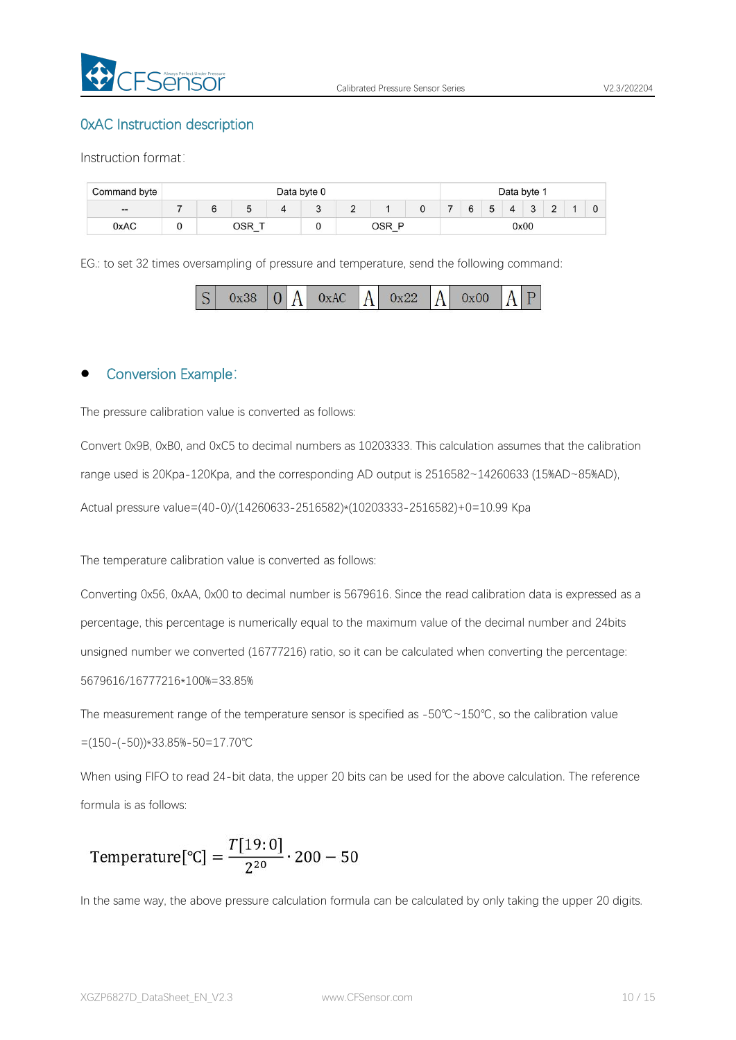

#### 0xAC Instruction description

Instruction format:

| Command byte | Data byte 0 |  |  |            |                            |  |      |  | Data byte 1 |   |  |        |                    |  |  |  |  |  |
|--------------|-------------|--|--|------------|----------------------------|--|------|--|-------------|---|--|--------|--------------------|--|--|--|--|--|
| $- -$        |             |  |  |            | $\tilde{\phantom{a}}$<br>▃ |  | 0    |  | 'n          | 5 |  | $\sim$ | $\sim$<br><u>_</u> |  |  |  |  |  |
| 0xAC         | $-$         |  |  | JSR<br>$-$ |                            |  | 0x00 |  |             |   |  |        |                    |  |  |  |  |  |

EG.: to set 32 times oversampling of pressure and temperature, send the following command:



# Conversion Example:

The pressure calibration value is converted as follows:

Convert 0x9B, 0xB0, and 0xC5 to decimal numbers as 10203333. This calculation assumes that the calibration range used is 20Kpa-120Kpa, and the corresponding AD output is 2516582~14260633 (15%AD~85%AD), Actual pressure value=(40-0)/(14260633-2516582)\*(10203333-2516582)+0=10.99 Kpa

The temperature calibration value is converted as follows:

Converting 0x56, 0xAA, 0x00 to decimal number is 5679616. Since the read calibration data is expressed as a percentage, this percentage is numerically equal to the maximum value of the decimal number and 24bits unsigned number we converted (16777216) ratio, so it can be calculated when converting the percentage: 5679616/16777216\*100%=33.85%

The measurement range of the temperature sensor is specified as -50℃~150℃, so the calibration value =(150-(-50))\*33.85%-50=17.70℃

When using FIFO to read 24-bit data, the upper 20 bits can be used for the above calculation. The reference formula is as follows:

Temperature [°C] = 
$$
\frac{T[19:0]}{2^{20}} \cdot 200 - 50
$$

In the same way, the above pressure calculation formula can be calculated by only taking the upper20 digits.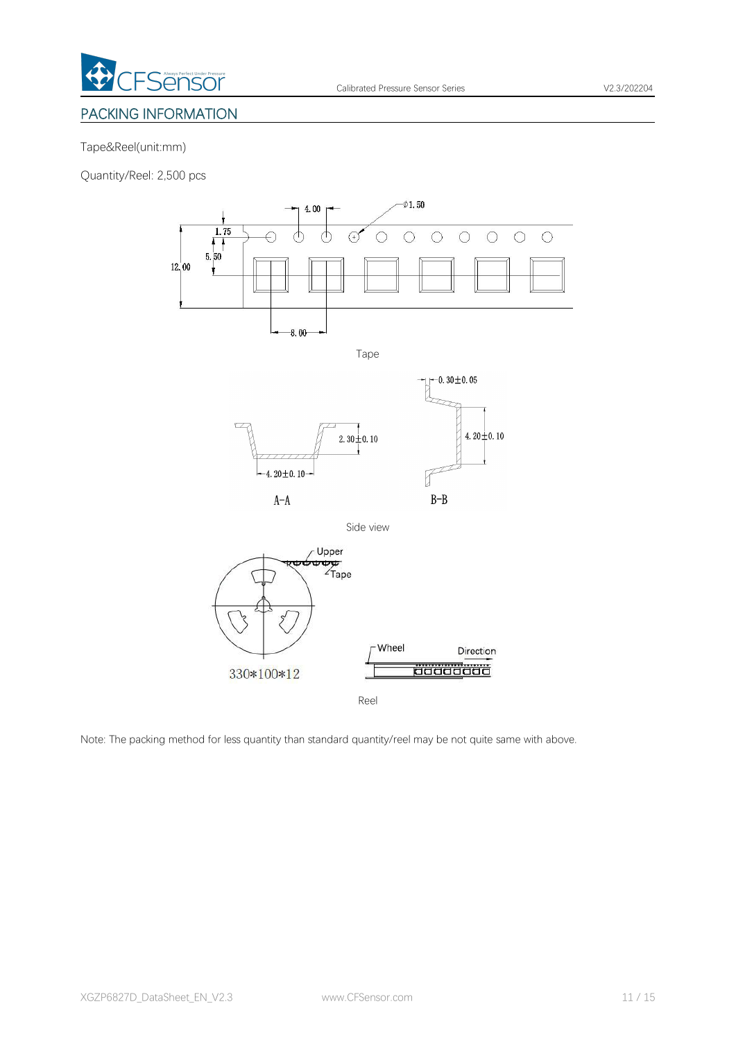

# <span id="page-10-0"></span>PACKING INFORMATION

#### Tape&Reel(unit:mm)

Quantity/Reel: 2,500 pcs



Reel

Note: The packing method for less quantity than standard quantity/reel may be not quite same with above.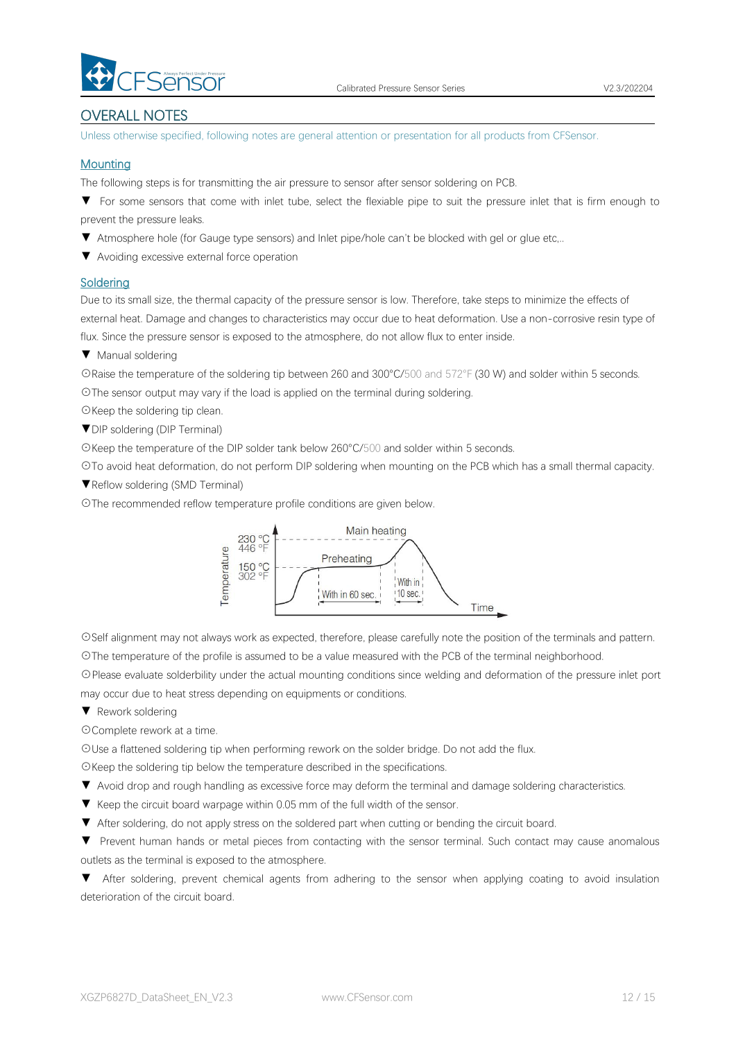

# OVERALL NOTES

Unless otherwise specified, following notes are general attention or presentation for all products from CFSensor.

#### **Mounting**

The following steps is for transmitting the air pressure to sensor after sensor soldering on PCB.

▼ For some sensors that come with inlet tube, select the flexiable pipe to suit the pressure inlet that is firm enough to prevent the pressure leaks.

- ▼ Atmosphere hole (for Gauge type sensors) and Inlet pipe/hole can't be blocked with gel or glue etc,..
- ▼ Avoiding excessive external force operation

#### **Soldering**

Due to its small size, the thermal capacity of the pressure sensor is low. Therefore, take steps to minimize the effects of external heat. Damage and changes to characteristics may occur due to heat deformation. Use a non-corrosive resin type of flux. Since the pressure sensor is exposed to the atmosphere, do not allow flux to enter inside.

▼ Manual soldering

☉Raise the temperature of the soldering tip between 260 and 300°C/500 and 572°F (30 W) and solder within 5 seconds. ☉The sensor output may vary if the load is applied on the terminal during soldering.

- ☉Keep the soldering tip clean.
- ▼DIP soldering (DIP Terminal)

☉Keep the temperature of the DIP solder tank below 260°C/500 and solder within 5 seconds.

☉To avoid heat deformation, do not perform DIP soldering when mounting on the PCB which has a small thermal capacity.

▼Reflow soldering (SMD Terminal)

☉The recommended reflow temperature profile conditions are given below.



☉Self alignment may not always work as expected, therefore, please carefully note the position of the terminals and pattern. ☉The temperature of the profile is assumed to be a value measured with the PCB of the terminal neighborhood.

☉Please evaluate solderbility under the actual mounting conditions since welding and deformation of the pressure inlet port may occur due to heat stress depending on equipments or conditions.

#### ▼ Rework soldering

☉Complete rework at a time.

☉Use a flattened soldering tip when performing rework on the solder bridge. Do not add the flux.

☉Keep the soldering tip below the temperature described in the specifications.

- ▼ Avoid drop and rough handling as excessive force may deform the terminal and damage soldering characteristics.
- 
- ▼ Keep the circuit board warpage within 0.05 mm of the full width of the sensor.<br>▼ After soldering, do not apply stress on the soldered part when cutting or bending the circuit board.

▼ Prevent human hands or metal pieces from contacting with the sensor terminal. Such contact may cause anomalous outlets as the terminal is exposed to the atmosphere.

▼ After soldering, prevent chemical agents from adhering to the sensor when applying coating to avoid insulation deterioration of the circuit board.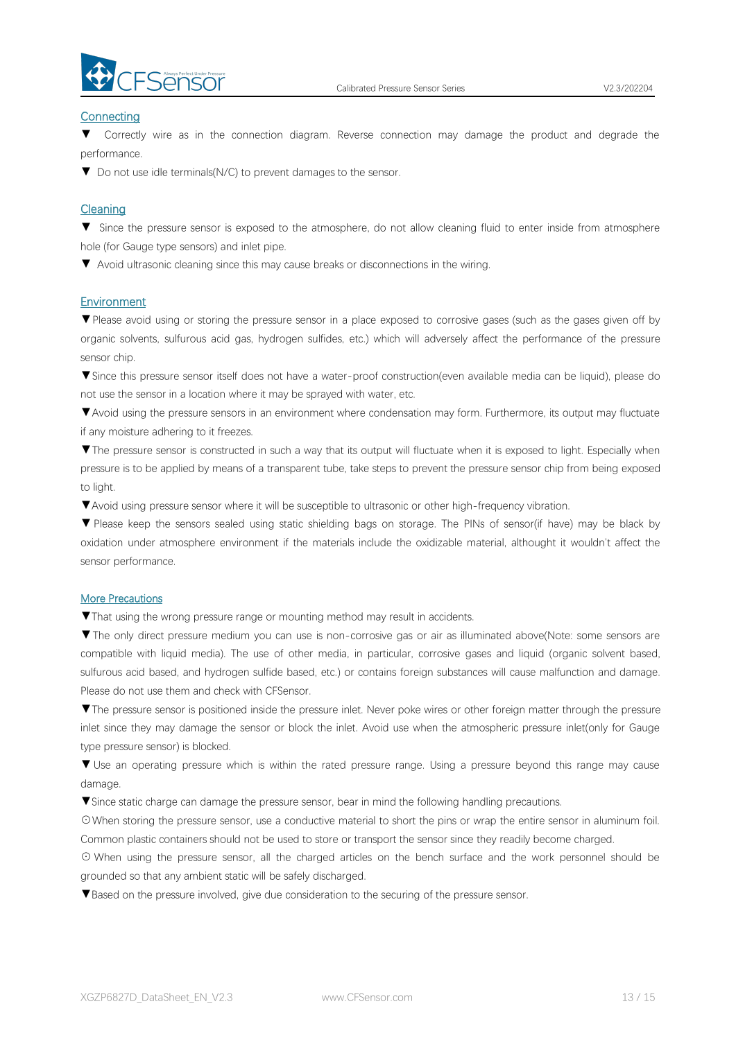

#### **Connecting**

▼ Correctly wire as in the connection diagram. Reverse connection may damage the product and degrade the performance.

▼ Do not use idle terminals(N/C) to prevent damages to the sensor.

#### **Cleaning**

▼ Since the pressure sensor is exposed to the atmosphere, do not allow cleaning fluid to enter inside from atmosphere hole (for Gauge type sensors) and inlet pipe.

▼ Avoid ultrasonic cleaning since this may cause breaks or disconnections in the wiring.

#### Environment

▼Please avoid using or storing the pressure sensor in a place exposed to corrosive gases (such as the gases given off by organic solvents, sulfurous acid gas, hydrogen sulfides, etc.) which will adversely affect the performance of the pressure sensor chip.

▼Since this pressure sensor itself does not have a water-proof construction(even available media can be liquid), please do not use the sensor in alocation where it may be sprayed with water, etc.

▼Avoid using the pressure sensors in an environment where condensation may form. Furthermore, its output may fluctuate if any moisture adhering to it freezes.

▼The pressure sensor is constructed in such a way that its output will fluctuate when it is exposed to light. Especially when pressure is to be applied by means of a transparent tube, take steps to prevent the pressure sensor chip from being exposed to light.

▼Avoid using pressure sensor where it will be susceptible to ultrasonic or other high-frequency vibration.

▼ Please keep the sensors sealed using static shielding bags on storage. The PINs of sensor(if have) may be black by oxidation under atmosphere environment if the materials include the oxidizable material, althought it wouldn't affect the sensor performance.

#### More Precautions

▼That using the wrong pressure range or mounting method mayresult in accidents.

▼The only direct pressure medium you can use is non-corrosive gas or air as illuminated above(Note: some sensors are compatible with liquid media). The use of other media, in particular, corrosive gases and liquid (organic solvent based, sulfurous acid based, and hydrogen sulfide based, etc.) or contains foreign substances will cause malfunction and damage.<br>Please do not use them and check with CFSensor.

▼The pressure sensor is positioned inside the pressure inlet. Never poke wires orother foreign matter through the pressure inlet since they may damage the sensor or block the inlet. Avoid use when the atmospheric pressure inlet(only for Gauge type pressure sensor) is blocked.

▼ Use an operating pressure which is within the rated pressure range. Using a pressure beyond this range may cause damage.

▼Since static charge can damage the pressure sensor, bear in mind the following handling precautions.

☉When storing the pressure sensor, use a conductive material to short the pins or wrap the entire sensor in aluminum foil. Common plastic containers should not be used to store or transport the sensor since they readily become charged.

⊙ When using the pressure sensor, all the charged articles on the bench surface and the work personnel should be grounded so that any ambient static will be safely discharged.

▼Based on the pressure involved, give due consideration to the securing of the pressure sensor.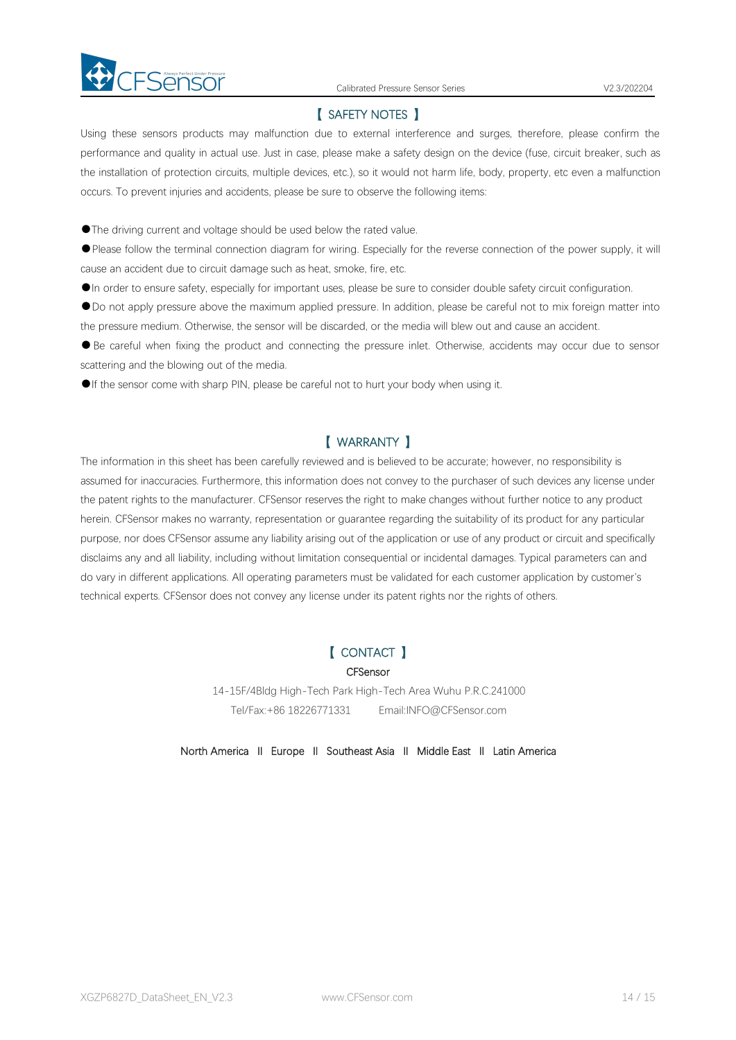

#### 【 SAFETY NOTES 】

Using these sensors products may malfunction due to external interference and surges, therefore, please confirm the performance and quality in actual use. Just in case, please make a safety design on the device (fuse, circuit breaker, such as the installation of protection circuits, multiple devices, etc.), so it would not harm life, body, property, etc even amalfunction occurs. To prevent injuries and accidents, please be sure to observe the following items:

●The driving current and voltage should be used below the rated value.

●Please follow the terminal connection diagram for wiring. Especially for the reverse connection of the power supply, it will cause an accident due to circuit damage such as heat, smoke, fire, etc.

●In order to ensure safety, especially for important uses, please be sure to consider double safety circuit configuration.

●Do not apply pressure above the maximum applied pressure. In addition, please be careful not to mix foreign matter into the pressure medium. Otherwise, the sensor will be discarded, or the media will blew out and cause an accident.<br>• Be careful when fixing the product and connecting the pressure inlet. Otherwise, accidents may occur due to

scattering and the blowing out of the media.

●If the sensor come with sharp PIN, please be careful not to hurt your body when using it.

#### 【 WARRANTY 】

The information in this sheet has been carefully reviewed and is believed to be accurate; however, no responsibility is assumed for inaccuracies. Furthermore, this information does not convey to the purchaser of such devices any license under the patent rights to the manufacturer. CFSensor reserves the right to make changes without further notice to any product herein. CFSensor makes no warranty, representation or guarantee regarding the suitability of its product for any particular purpose, nor does CFSensor assume any liability arising out of the application or use of any product or circuit and specifically disclaims any and all liability, including without limitation consequential or incidental damages. Typical parameters can and do varyin different applications. All operating parameters must be validated for each customer application by customer's technical experts. CFSensor does not convey any license under its patent rights nor the rights of others.

#### 【 CONTACT 】

#### **CFSensor**

14-15F/4Bldg High-Tech Park High-Tech Area Wuhu P.R.C.241000 Tel/Fax:+86 18226771331 Email:INFO@CFSensor.com

North America Ⅱ Europe Ⅱ Southeast Asia Ⅱ Middle East Ⅱ Latin America